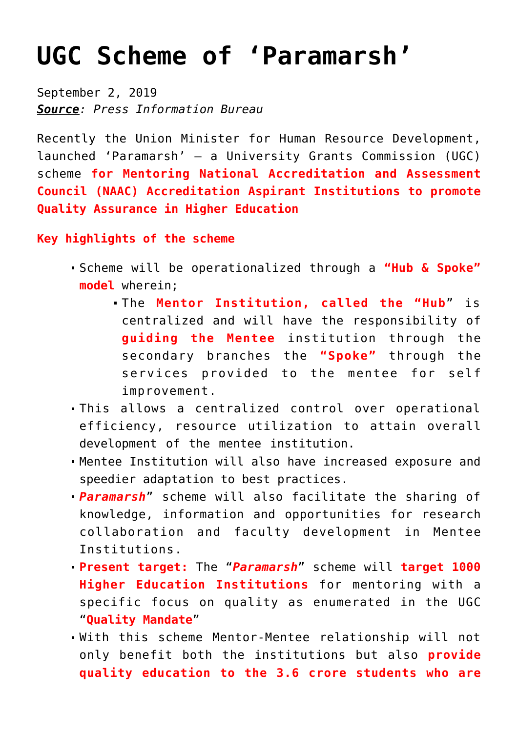## **[UGC Scheme of 'Paramarsh'](https://journalsofindia.com/ugc-scheme-of-paramarsh/)**

September 2, 2019 *Source: Press Information Bureau*

Recently the Union Minister for Human Resource Development, launched 'Paramarsh' – a University Grants Commission (UGC) scheme **for Mentoring National Accreditation and Assessment Council (NAAC) Accreditation Aspirant Institutions to promote Quality Assurance in Higher Education**

**Key highlights of the scheme**

- Scheme will be operationalized through a **"Hub & Spoke" model** wherein;
	- The **Mentor Institution, called the "Hub**" is centralized and will have the responsibility of **guiding the Mentee** institution through the secondary branches the **"Spoke"** through the services provided to the mentee for self improvement.
- This allows a centralized control over operational efficiency, resource utilization to attain overall development of the mentee institution.
- Mentee Institution will also have increased exposure and speedier adaptation to best practices.
- *Paramarsh*" scheme will also facilitate the sharing of knowledge, information and opportunities for research collaboration and faculty development in Mentee Institutions.
- **Present target:** The "*Paramarsh*" scheme will **target 1000 Higher Education Institutions** for mentoring with a specific focus on quality as enumerated in the UGC "**Quality Mandate**"
- With this scheme Mentor-Mentee relationship will not only benefit both the institutions but also **provide quality education to the 3.6 crore students who are**